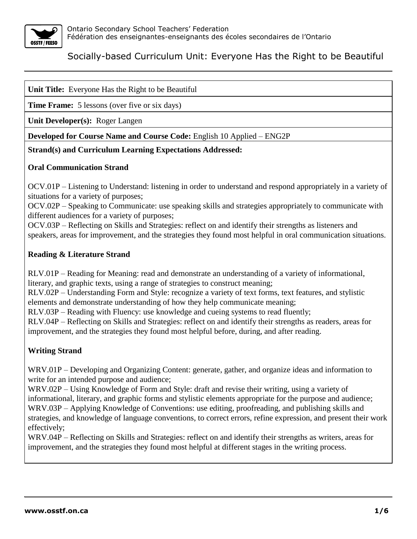

|  |  | Unit Title: Everyone Has the Right to be Beautiful |  |
|--|--|----------------------------------------------------|--|
|--|--|----------------------------------------------------|--|

**Time Frame:** 5 lessons (over five or six days)

**Unit Developer(s):** Roger Langen

**Developed for Course Name and Course Code:** English 10 Applied – ENG2P

#### **Strand(s) and Curriculum Learning Expectations Addressed:**

#### **Oral Communication Strand**

OCV.01P – Listening to Understand: listening in order to understand and respond appropriately in a variety of situations for a variety of purposes;

OCV.02P – Speaking to Communicate: use speaking skills and strategies appropriately to communicate with different audiences for a variety of purposes;

OCV.03P – Reflecting on Skills and Strategies: reflect on and identify their strengths as listeners and speakers, areas for improvement, and the strategies they found most helpful in oral communication situations.

#### **Reading & Literature Strand**

RLV.01P – Reading for Meaning: read and demonstrate an understanding of a variety of informational, literary, and graphic texts, using a range of strategies to construct meaning;

RLV.02P – Understanding Form and Style: recognize a variety of text forms, text features, and stylistic elements and demonstrate understanding of how they help communicate meaning;

RLV.03P – Reading with Fluency: use knowledge and cueing systems to read fluently;

RLV.04P – Reflecting on Skills and Strategies: reflect on and identify their strengths as readers, areas for improvement, and the strategies they found most helpful before, during, and after reading.

#### **Writing Strand**

WRV.01P – Developing and Organizing Content: generate, gather, and organize ideas and information to write for an intended purpose and audience;

WRV.02P – Using Knowledge of Form and Style: draft and revise their writing, using a variety of informational, literary, and graphic forms and stylistic elements appropriate for the purpose and audience; WRV.03P – Applying Knowledge of Conventions: use editing, proofreading, and publishing skills and strategies, and knowledge of language conventions, to correct errors, refine expression, and present their work effectively;

WRV.04P – Reflecting on Skills and Strategies: reflect on and identify their strengths as writers, areas for improvement, and the strategies they found most helpful at different stages in the writing process.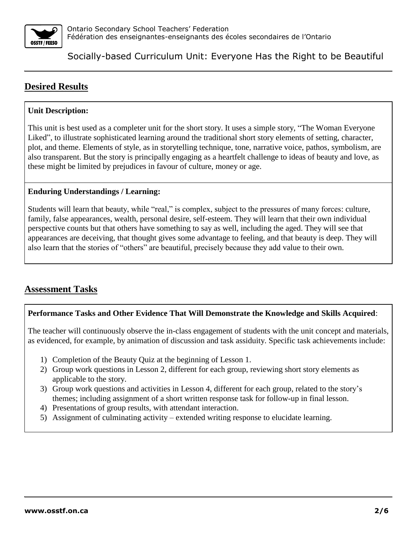

# **Desired Results**

## **Unit Description:**

This unit is best used as a completer unit for the short story. It uses a simple story, "The Woman Everyone Liked", to illustrate sophisticated learning around the traditional short story elements of setting, character, plot, and theme. Elements of style, as in storytelling technique, tone, narrative voice, pathos, symbolism, are also transparent. But the story is principally engaging as a heartfelt challenge to ideas of beauty and love, as these might be limited by prejudices in favour of culture, money or age.

### **Enduring Understandings / Learning:**

Students will learn that beauty, while "real," is complex, subject to the pressures of many forces: culture, family, false appearances, wealth, personal desire, self-esteem. They will learn that their own individual perspective counts but that others have something to say as well, including the aged. They will see that appearances are deceiving, that thought gives some advantage to feeling, and that beauty is deep. They will also learn that the stories of "others" are beautiful, precisely because they add value to their own.

## **Assessment Tasks**

#### **Performance Tasks and Other Evidence That Will Demonstrate the Knowledge and Skills Acquired**:

The teacher will continuously observe the in-class engagement of students with the unit concept and materials, as evidenced, for example, by animation of discussion and task assiduity. Specific task achievements include:

- 1) Completion of the Beauty Quiz at the beginning of Lesson 1.
- 2) Group work questions in Lesson 2, different for each group, reviewing short story elements as applicable to the story.
- 3) Group work questions and activities in Lesson 4, different for each group, related to the story's themes; including assignment of a short written response task for follow-up in final lesson.
- 4) Presentations of group results, with attendant interaction.
- 5) Assignment of culminating activity extended writing response to elucidate learning.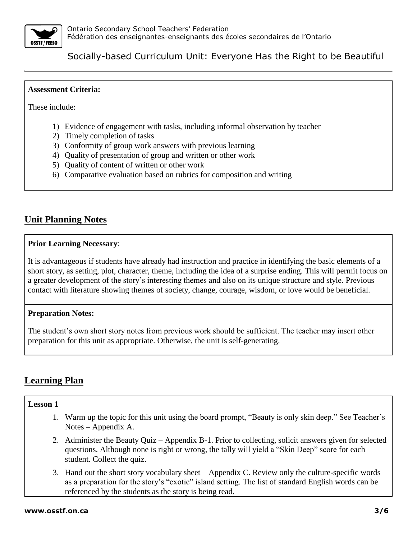

#### **Assessment Criteria:**

These include:

- 1) Evidence of engagement with tasks, including informal observation by teacher
- 2) Timely completion of tasks
- 3) Conformity of group work answers with previous learning
- 4) Quality of presentation of group and written or other work
- 5) Quality of content of written or other work
- 6) Comparative evaluation based on rubrics for composition and writing

## **Unit Planning Notes**

#### **Prior Learning Necessary**:

It is advantageous if students have already had instruction and practice in identifying the basic elements of a short story, as setting, plot, character, theme, including the idea of a surprise ending. This will permit focus on a greater development of the story's interesting themes and also on its unique structure and style. Previous contact with literature showing themes of society, change, courage, wisdom, or love would be beneficial.

#### **Preparation Notes:**

The student's own short story notes from previous work should be sufficient. The teacher may insert other preparation for this unit as appropriate. Otherwise, the unit is self-generating.

## **Learning Plan**

#### **Lesson 1**

- 1. Warm up the topic for this unit using the board prompt, "Beauty is only skin deep." See Teacher's Notes – Appendix A.
- 2. Administer the Beauty Quiz Appendix B-1. Prior to collecting, solicit answers given for selected questions. Although none is right or wrong, the tally will yield a "Skin Deep" score for each student. Collect the quiz.
- 3. Hand out the short story vocabulary sheet Appendix C. Review only the culture-specific words as a preparation for the story's "exotic" island setting. The list of standard English words can be referenced by the students as the story is being read.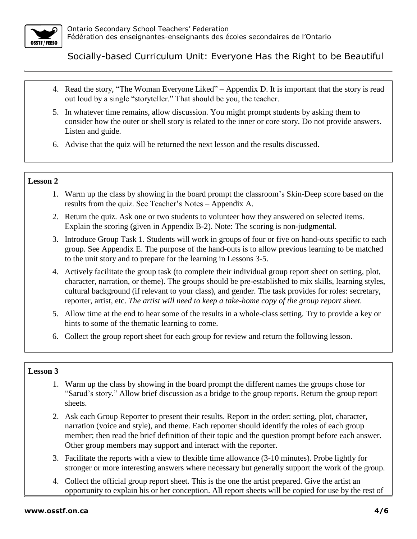

- 4. Read the story, "The Woman Everyone Liked" Appendix D. It is important that the story is read out loud by a single "storyteller." That should be you, the teacher.
- 5. In whatever time remains, allow discussion. You might prompt students by asking them to consider how the outer or shell story is related to the inner or core story. Do not provide answers. Listen and guide.
- 6. Advise that the quiz will be returned the next lesson and the results discussed.

### **Lesson 2**

- 1. Warm up the class by showing in the board prompt the classroom's Skin-Deep score based on the results from the quiz. See Teacher's Notes – Appendix A.
- 2. Return the quiz. Ask one or two students to volunteer how they answered on selected items. Explain the scoring (given in Appendix B-2). Note: The scoring is non-judgmental.
- 3. Introduce Group Task 1. Students will work in groups of four or five on hand-outs specific to each group. See Appendix E. The purpose of the hand-outs is to allow previous learning to be matched to the unit story and to prepare for the learning in Lessons 3-5.
- 4. Actively facilitate the group task (to complete their individual group report sheet on setting, plot, character, narration, or theme). The groups should be pre-established to mix skills, learning styles, cultural background (if relevant to your class), and gender. The task provides for roles: secretary, reporter, artist, etc. *The artist will need to keep a take-home copy of the group report sheet.*
- 5. Allow time at the end to hear some of the results in a whole-class setting. Try to provide a key or hints to some of the thematic learning to come.
- 6. Collect the group report sheet for each group for review and return the following lesson.

## **Lesson 3**

- 1. Warm up the class by showing in the board prompt the different names the groups chose for "Sarud's story." Allow brief discussion as a bridge to the group reports. Return the group report sheets.
- 2. Ask each Group Reporter to present their results. Report in the order: setting, plot, character, narration (voice and style), and theme. Each reporter should identify the roles of each group member; then read the brief definition of their topic and the question prompt before each answer. Other group members may support and interact with the reporter.
- 3. Facilitate the reports with a view to flexible time allowance (3-10 minutes). Probe lightly for stronger or more interesting answers where necessary but generally support the work of the group.
- 4. Collect the official group report sheet. This is the one the artist prepared. Give the artist an opportunity to explain his or her conception. All report sheets will be copied for use by the rest of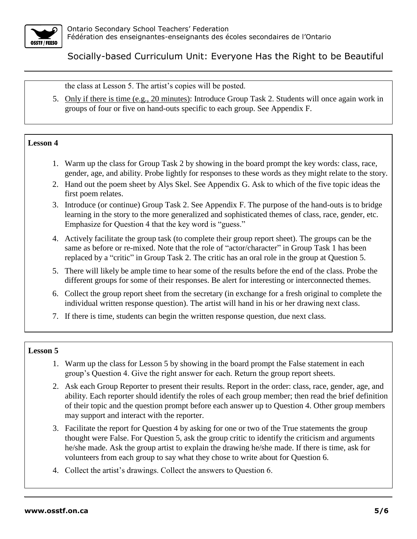

the class at Lesson 5. The artist's copies will be posted.

5. Only if there is time (e.g., 20 minutes): Introduce Group Task 2. Students will once again work in groups of four or five on hand-outs specific to each group. See Appendix F.

#### **Lesson 4**

- 1. Warm up the class for Group Task 2 by showing in the board prompt the key words: class, race, gender, age, and ability. Probe lightly for responses to these words as they might relate to the story.
- 2. Hand out the poem sheet by Alys Skel. See Appendix G. Ask to which of the five topic ideas the first poem relates.
- 3. Introduce (or continue) Group Task 2. See Appendix F. The purpose of the hand-outs is to bridge learning in the story to the more generalized and sophisticated themes of class, race, gender, etc. Emphasize for Question 4 that the key word is "guess."
- 4. Actively facilitate the group task (to complete their group report sheet). The groups can be the same as before or re-mixed. Note that the role of "actor/character" in Group Task 1 has been replaced by a "critic" in Group Task 2. The critic has an oral role in the group at Question 5.
- 5. There will likely be ample time to hear some of the results before the end of the class. Probe the different groups for some of their responses. Be alert for interesting or interconnected themes.
- 6. Collect the group report sheet from the secretary (in exchange for a fresh original to complete the individual written response question). The artist will hand in his or her drawing next class.
- 7. If there is time, students can begin the written response question, due next class.

#### **Lesson 5**

- 1. Warm up the class for Lesson 5 by showing in the board prompt the False statement in each group's Question 4. Give the right answer for each. Return the group report sheets.
- 2. Ask each Group Reporter to present their results. Report in the order: class, race, gender, age, and ability. Each reporter should identify the roles of each group member; then read the brief definition of their topic and the question prompt before each answer up to Question 4. Other group members may support and interact with the reporter.
- 3. Facilitate the report for Question 4 by asking for one or two of the True statements the group thought were False. For Question 5, ask the group critic to identify the criticism and arguments he/she made. Ask the group artist to explain the drawing he/she made. If there is time, ask for volunteers from each group to say what they chose to write about for Question 6.
- 4. Collect the artist's drawings. Collect the answers to Question 6.